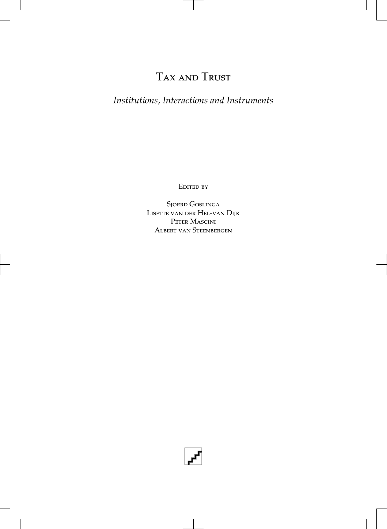# Tax and Trust

*Institutions, Interactions and Instruments*

Edited by

Sjoerd Goslinga Lisette van der Hel-van Dijk Peter Mascini Albert van Steenbergen

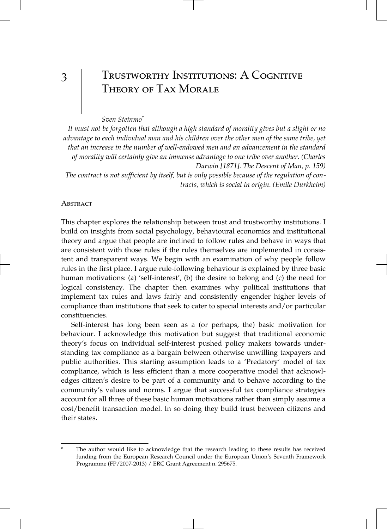# 3 TRUSTWORTHY INSTITUTIONS: A COGNITIVE Theory of Tax Morale

#### *Sven Steinmo*\*

*It must not be forgotten that although a high standard of morality gives but a slight or no advantage to each individual man and his children over the other men of the same tribe, yet that an increase in the number of well-endowed men and an advancement in the standard of morality will certainly give an immense advantage to one tribe over another. (Charles Darwin [1871]. The Descent of Man, p. 159)*

*The contract is not sufficient by itself, but is only possible because of the regulation of con‐ tracts, which is social in origin. (Emile Durkheim)*

## **ABSTRACT**

This chapter explores the relationship between trust and trustworthy institutions. I build on insights from social psychology, behavioural economics and institutional theory and argue that people are inclined to follow rules and behave in ways that are consistent with those rules if the rules themselves are implemented in consistent and transparent ways. We begin with an examination of why people follow rules in the first place. I argue rule-following behaviour is explained by three basic human motivations: (a) 'self-interest', (b) the desire to belong and (c) the need for logical consistency. The chapter then examines why political institutions that implement tax rules and laws fairly and consistently engender higher levels of compliance than institutions that seek to cater to special interests and/or particular constituencies.

Self-interest has long been seen as a (or perhaps, the) basic motivation for behaviour. I acknowledge this motivation but suggest that traditional economic theory's focus on individual self-interest pushed policy makers towards under‐ standing tax compliance as a bargain between otherwise unwilling taxpayers and public authorities. This starting assumption leads to a 'Predatory' model of tax compliance, which is less efficient than a more cooperative model that acknowledges citizen's desire to be part of a community and to behave according to the community's values and norms. I argue that successful tax compliance strategies account for all three of these basic human motivations rather than simply assume a cost/benefit transaction model. In so doing they build trust between citizens and their states.

The author would like to acknowledge that the research leading to these results has received funding from the European Research Council under the European Union's Seventh Framework Programme (FP/2007-2013) / ERC Grant Agreement n. 295675.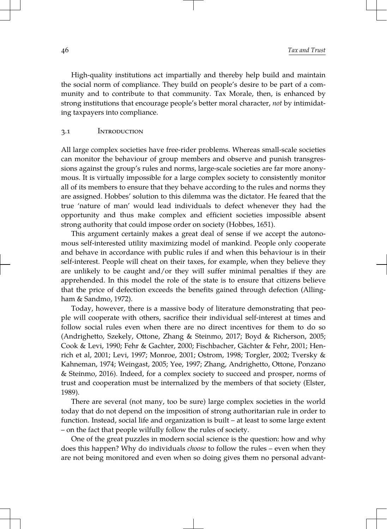High-quality institutions act impartially and thereby help build and maintain the social norm of compliance. They build on people's desire to be part of a community and to contribute to that community. Tax Morale, then, is enhanced by strong institutions that encourage people's better moral character, *not* by intimidat‐ ing taxpayers into compliance.

#### 3.1 Introduction

All large complex societies have free-rider problems. Whereas small-scale societies can monitor the behaviour of group members and observe and punish transgressions against the group's rules and norms, large-scale societies are far more anony‐ mous. It is virtually impossible for a large complex society to consistently monitor all of its members to ensure that they behave according to the rules and norms they are assigned. Hobbes' solution to this dilemma was the dictator. He feared that the true 'nature of man' would lead individuals to defect whenever they had the opportunity and thus make complex and efficient societies impossible absent strong authority that could impose order on society (Hobbes, 1651).

This argument certainly makes a great deal of sense if we accept the autonomous self-interested utility maximizing model of mankind. People only cooperate and behave in accordance with public rules if and when this behaviour is in their self-interest. People will cheat on their taxes, for example, when they believe they are unlikely to be caught and/or they will suffer minimal penalties if they are apprehended. In this model the role of the state is to ensure that citizens believe that the price of defection exceeds the benefits gained through defection (Alling‐ ham & Sandmo, 1972).

Today, however, there is a massive body of literature demonstrating that peo‐ ple will cooperate with others, sacrifice their individual self-interest at times and follow social rules even when there are no direct incentives for them to do so (Andrighetto, Szekely, Ottone, Zhang & Steinmo, 2017; Boyd & Richerson, 2005; Cook & Levi, 1990; Fehr & Gachter, 2000; Fischbacher, Gächter & Fehr, 2001; Hen‐ rich et al, 2001; Levi, 1997; Monroe, 2001; Ostrom, 1998; Torgler, 2002; Tversky & Kahneman, 1974; Weingast, 2005; Yee, 1997; Zhang, Andrighetto, Ottone, Ponzano & Steinmo, 2016). Indeed, for a complex society to succeed and prosper, norms of trust and cooperation must be internalized by the members of that society (Elster, 1989).

There are several (not many, too be sure) large complex societies in the world today that do not depend on the imposition of strong authoritarian rule in order to function. Instead, social life and organization is built – at least to some large extent – on the fact that people wilfully follow the rules of society.

One of the great puzzles in modern social science is the question: how and why does this happen? Why do individuals *choose* to follow the rules – even when they are not being monitored and even when so doing gives them no personal advant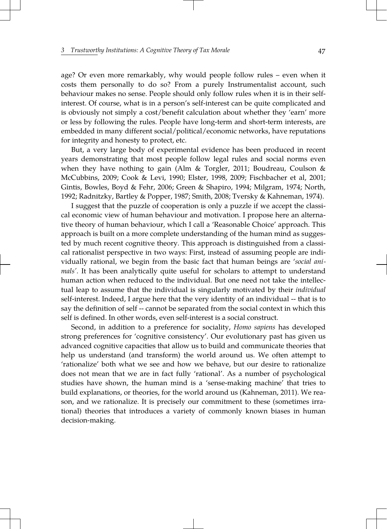age? Or even more remarkably, why would people follow rules – even when it costs them personally to do so? From a purely Instrumentalist account, such behaviour makes no sense. People should only follow rules when it is in their selfinterest. Of course, what is in a person's self-interest can be quite complicated and is obviously not simply a cost/benefit calculation about whether they 'earn' more or less by following the rules. People have long-term and short-term interests, are embedded in many different social/political/economic networks, have reputations for integrity and honesty to protect, etc.

But, a very large body of experimental evidence has been produced in recent years demonstrating that most people follow legal rules and social norms even when they have nothing to gain (Alm & Torgler, 2011; Boudreau, Coulson & McCubbins, 2009; Cook & Levi, 1990; Elster, 1998, 2009; Fischbacher et al, 2001; Gintis, Bowles, Boyd & Fehr, 2006; Green & Shapiro, 1994; Milgram, 1974; North, 1992; Radnitzky, Bartley & Popper, 1987; Smith, 2008; Tversky & Kahneman, 1974).

I suggest that the puzzle of cooperation is only a puzzle if we accept the classi‐ cal economic view of human behaviour and motivation. I propose here an alternative theory of human behaviour, which I call a 'Reasonable Choice' approach. This approach is built on a more complete understanding of the human mind as suggested by much recent cognitive theory. This approach is distinguished from a classical rationalist perspective in two ways: First, instead of assuming people are individually rational, we begin from the basic fact that human beings are '*social ani‐ mals'*. It has been analytically quite useful for scholars to attempt to understand human action when reduced to the individual. But one need not take the intellec‐ tual leap to assume that the individual is singularly motivated by their *individual* self-interest. Indeed, I argue here that the very identity of an individual -- that is to say the definition of self -- cannot be separated from the social context in which this self is defined. In other words, even self-interest is a social construct.

Second, in addition to a preference for sociality, *Homo sapiens* has developed strong preferences for 'cognitive consistency'. Our evolutionary past has given us advanced cognitive capacities that allow us to build and communicate theories that help us understand (and transform) the world around us. We often attempt to 'rationalize' both what we see and how we behave, but our desire to rationalize does not mean that we are in fact fully 'rational'. As a number of psychological studies have shown, the human mind is a 'sense-making machine' that tries to build explanations, or theories, for the world around us (Kahneman, 2011). We rea‐ son, and we rationalize. It is precisely our commitment to these (sometimes irrational) theories that introduces a variety of commonly known biases in human decision-making.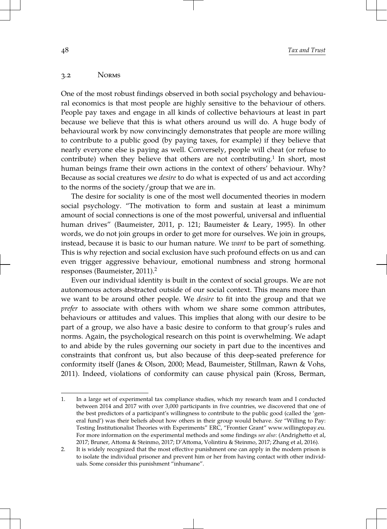## 3.2 Norms

One of the most robust findings observed in both social psychology and behavioural economics is that most people are highly sensitive to the behaviour of others. People pay taxes and engage in all kinds of collective behaviours at least in part because we believe that this is what others around us will do. A huge body of behavioural work by now convincingly demonstrates that people are more willing to contribute to a public good (by paying taxes, for example) if they believe that nearly everyone else is paying as well. Conversely, people will cheat (or refuse to contribute) when they believe that others are not contributing.<sup>1</sup> In short, most human beings frame their own actions in the context of others' behaviour. Why? Because as social creatures we *desire* to do what is expected of us and act according to the norms of the society/group that we are in.

The desire for sociality is one of the most well documented theories in modern social psychology. "The motivation to form and sustain at least a minimum amount of social connections is one of the most powerful, universal and influential human drives" (Baumeister, 2011, p. 121; Baumeister & Leary, 1995). In other words, we do not join groups in order to get more for ourselves. We join in groups, instead, because it is basic to our human nature. We *want* to be part of something. This is why rejection and social exclusion have such profound effects on us and can even trigger aggressive behaviour, emotional numbness and strong hormonal responses (Baumeister, 2011).<sup>2</sup>

Even our individual identity is built in the context of social groups. We are not autonomous actors abstracted outside of our social context. This means more than we want to be around other people. We *desire* to fit into the group and that we *prefer* to associate with others with whom we share some common attributes, behaviours or attitudes and values. This implies that along with our desire to be part of a group, we also have a basic desire to conform to that group's rules and norms. Again, the psychological research on this point is overwhelming. We adapt to and abide by the rules governing our society in part due to the incentives and constraints that confront us, but also because of this deep-seated preference for conformity itself (Janes & Olson, 2000; Mead, Baumeister, Stillman, Rawn & Vohs, 2011). Indeed, violations of conformity can cause physical pain (Kross, Berman,

<sup>1.</sup> In a large set of experimental tax compliance studies, which my research team and I conducted between 2014 and 2017 with over 3,000 participants in five countries, we discovered that one of the best predictors of a participant's willingness to contribute to the public good (called the 'general fund') was their beliefs about how others in their group would behave. *See* "Willing to Pay: Testing Institutionalist Theories with Experiments" ERC, "Frontier Grant" [www.willingtopay.eu.](http://www.willingtopay.eu) For more information on the experimental methods and some findings *see also*: (Andrighetto et al, 2017; Bruner, Attoma & Steinmo, 2017; D'Attoma, Volintiru & Steinmo, 2017; Zhang et al, 2016).

<sup>2.</sup> It is widely recognized that the most effective punishment one can apply in the modern prison is to isolate the individual prisoner and prevent him or her from having contact with other individuals. Some consider this punishment "inhumane".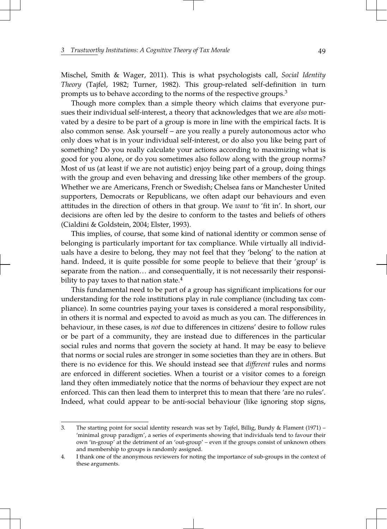Mischel, Smith & Wager, 2011). This is what psychologists call, *Social Identity Theory* (Tajfel, 1982; Turner, 1982). This group-related self-definition in turn prompts us to behave according to the norms of the respective groups.<sup>3</sup>

Though more complex than a simple theory which claims that everyone pursues their individual self-interest, a theory that acknowledges that we are *also* moti‐ vated by a desire to be part of a group is more in line with the empirical facts. It is also common sense. Ask yourself – are you really a purely autonomous actor who only does what is in your individual self-interest, or do also you like being part of something? Do you really calculate your actions according to maximizing what is good for you alone, or do you sometimes also follow along with the group norms? Most of us (at least if we are not autistic) enjoy being part of a group, doing things with the group and even behaving and dressing like other members of the group. Whether we are Americans, French or Swedish; Chelsea fans or Manchester United supporters, Democrats or Republicans, we often adapt our behaviours and even attitudes in the direction of others in that group. We *want* to 'fit in'. In short, our decisions are often led by the desire to conform to the tastes and beliefs of others (Cialdini & Goldstein, 2004; Elster, 1993).

This implies, of course, that some kind of national identity or common sense of belonging is particularly important for tax compliance. While virtually all individ‐ uals have a desire to belong, they may not feel that they 'belong' to the nation at hand. Indeed, it is quite possible for some people to believe that their 'group' is separate from the nation... and consequentially, it is not necessarily their responsibility to pay taxes to that nation state. $4$ 

This fundamental need to be part of a group has significant implications for our understanding for the role institutions play in rule compliance (including tax compliance). In some countries paying your taxes is considered a moral responsibility, in others it is normal and expected to avoid as much as you can. The differences in behaviour, in these cases, is *not* due to differences in citizens' desire to follow rules or be part of a community, they are instead due to differences in the particular social rules and norms that govern the society at hand. It may be easy to believe that norms or social rules are stronger in some societies than they are in others. But there is no evidence for this. We should instead see that *different* rules and norms are enforced in different societies. When a tourist or a visitor comes to a foreign land they often immediately notice that the norms of behaviour they expect are not enforced. This can then lead them to interpret this to mean that there 'are no rules'. Indeed, what could appear to be anti-social behaviour (like ignoring stop signs,

<sup>3.</sup> The starting point for social identity research was set by Tajfel, Billig, Bundy & Flament (1971) – 'minimal group paradigm', a series of experiments showing that individuals tend to favour their own 'in-group' at the detriment of an 'out-group' – even if the groups consist of unknown others and membership to groups is randomly assigned.

<sup>4.</sup> I thank one of the anonymous reviewers for noting the importance of sub-groups in the context of these arguments.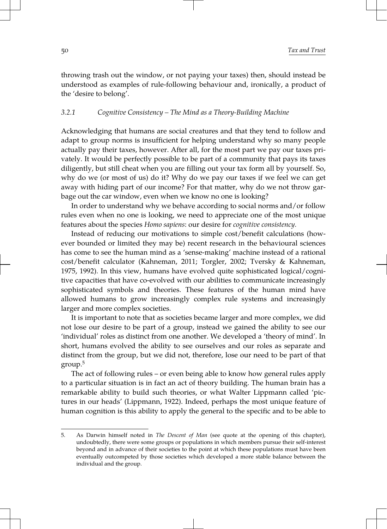throwing trash out the window, or not paying your taxes) then, should instead be understood as examples of rule-following behaviour and, ironically, a product of the 'desire to belong'.

### *3.2.1 Cognitive Consistency – The Mind as a Theory-Building Machine*

Acknowledging that humans are social creatures and that they tend to follow and adapt to group norms is insufficient for helping understand why so many people actually pay their taxes, however. After all, for the most part we pay our taxes privately. It would be perfectly possible to be part of a community that pays its taxes diligently, but still cheat when you are filling out your tax form all by yourself. So, why do we (or most of us) do it? Why do we pay our taxes if we feel we can get away with hiding part of our income? For that matter, why do we not throw garbage out the car window, even when we know no one is looking?

In order to understand why we behave according to social norms and/or follow rules even when no one is looking, we need to appreciate one of the most unique features about the species *Homo sapiens*: our desire for *cognitive consistency.*

Instead of reducing our motivations to simple cost/benefit calculations (how‐ ever bounded or limited they may be) recent research in the behavioural sciences has come to see the human mind as a 'sense-making' machine instead of a rational cost/benefit calculator (Kahneman, 2011; Torgler, 2002; Tversky & Kahneman, 1975, 1992). In this view, humans have evolved quite sophisticated logical/cogni‐ tive capacities that have co-evolved with our abilities to communicate increasingly sophisticated symbols and theories. These features of the human mind have allowed humans to grow increasingly complex rule systems and increasingly larger and more complex societies.

It is important to note that as societies became larger and more complex, we did not lose our desire to be part of a group, instead we gained the ability to see our 'individual' roles as distinct from one another. We developed a 'theory of mind'. In short, humans evolved the ability to see ourselves and our roles as separate and distinct from the group, but we did not, therefore, lose our need to be part of that group.<sup>5</sup>

The act of following rules – or even being able to know how general rules apply to a particular situation is in fact an act of theory building. The human brain has a remarkable ability to build such theories, or what Walter Lippmann called 'pic‐ tures in our heads' (Lippmann, 1922). Indeed, perhaps the most unique feature of human cognition is this ability to apply the general to the specific and to be able to

<sup>5.</sup> As Darwin himself noted in *The Descent of Man* (see quote at the opening of this chapter), undoubtedly, there were some groups or populations in which members pursue their self-interest beyond and in advance of their societies to the point at which these populations must have been eventually outcompeted by those societies which developed a more stable balance between the individual and the group.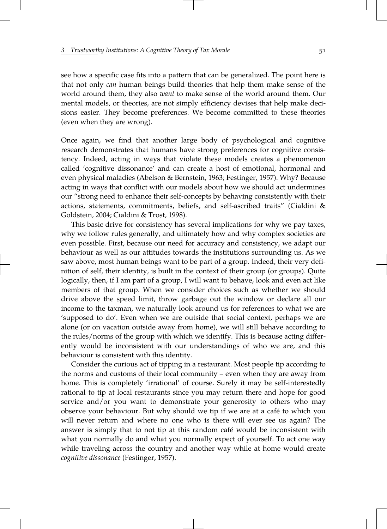see how a specific case fits into a pattern that can be generalized. The point here is that not only *can* human beings build theories that help them make sense of the world around them, they also *want* to make sense of the world around them. Our mental models, or theories, are not simply efficiency devises that help make decisions easier. They become preferences. We become committed to these theories (even when they are wrong).

Once again, we find that another large body of psychological and cognitive research demonstrates that humans have strong preferences for cognitive consistency. Indeed, acting in ways that violate these models creates a phenomenon called 'cognitive dissonance' and can create a host of emotional, hormonal and even physical maladies (Abelson & Bernstein, 1963; Festinger, 1957). Why? Because acting in ways that conflict with our models about how we should act undermines our "strong need to enhance their self-concepts by behaving consistently with their actions, statements, commitments, beliefs, and self-ascribed traits" (Cialdini & Goldstein, 2004; Cialdini & Trost, 1998).

This basic drive for consistency has several implications for why we pay taxes, why we follow rules generally, and ultimately how and why complex societies are even possible. First, because our need for accuracy and consistency, we adapt our behaviour as well as our attitudes towards the institutions surrounding us. As we saw above, most human beings want to be part of a group. Indeed, their very definition of self, their identity, is built in the context of their group (or groups). Quite logically, then, if I am part of a group, I will want to behave, look and even act like members of that group. When we consider choices such as whether we should drive above the speed limit, throw garbage out the window or declare all our income to the taxman, we naturally look around us for references to what we are 'supposed to do'. Even when we are outside that social context, perhaps we are alone (or on vacation outside away from home), we will still behave according to the rules/norms of the group with which we identify. This is because acting differ‐ ently would be inconsistent with our understandings of who we are, and this behaviour is consistent with this identity.

Consider the curious act of tipping in a restaurant. Most people tip according to the norms and customs of their local community – even when they are away from home. This is completely 'irrational' of course. Surely it may be self-interestedly rational to tip at local restaurants since you may return there and hope for good service and/or you want to demonstrate your generosity to others who may observe your behaviour. But why should we tip if we are at a café to which you will never return and where no one who is there will ever see us again? The answer is simply that to not tip at this random café would be inconsistent with what you normally do and what you normally expect of yourself. To act one way while traveling across the country and another way while at home would create *cognitive dissonance* (Festinger, 1957).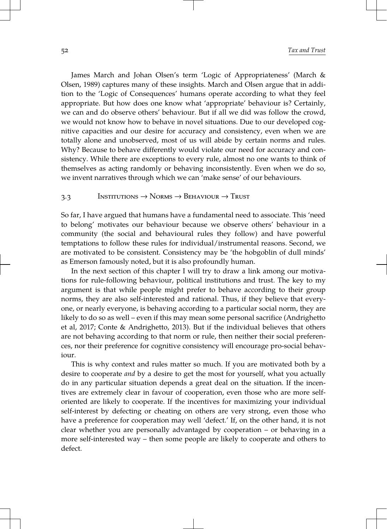James March and Johan Olsen's term 'Logic of Appropriateness' (March & Olsen, 1989) captures many of these insights. March and Olsen argue that in addi‐ tion to the 'Logic of Consequences' humans operate according to what they feel appropriate. But how does one know what 'appropriate' behaviour is? Certainly, we can and do observe others' behaviour. But if all we did was follow the crowd, we would not know how to behave in novel situations. Due to our developed cognitive capacities and our desire for accuracy and consistency, even when we are totally alone and unobserved, most of us will abide by certain norms and rules. Why? Because to behave differently would violate our need for accuracy and consistency. While there are exceptions to every rule, almost no one wants to think of themselves as acting randomly or behaving inconsistently. Even when we do so, we invent narratives through which we can 'make sense' of our behaviours.

# 3.3 INSTITUTIONS  $\rightarrow$  Norms  $\rightarrow$  Behaviour  $\rightarrow$  Trust

So far, I have argued that humans have a fundamental need to associate. This 'need to belong' motivates our behaviour because we observe others' behaviour in a community (the social and behavioural rules they follow) and have powerful temptations to follow these rules for individual/instrumental reasons. Second, we are motivated to be consistent. Consistency may be 'the hobgoblin of dull minds' as Emerson famously noted, but it is also profoundly human.

In the next section of this chapter I will try to draw a link among our motivations for rule-following behaviour, political institutions and trust. The key to my argument is that while people might prefer to behave according to their group norms, they are also self-interested and rational. Thus, if they believe that every‐ one, or nearly everyone, is behaving according to a particular social norm, they are likely to do so as well – even if this may mean some personal sacrifice (Andrighetto et al, 2017; Conte & Andrighetto, 2013). But if the individual believes that others are not behaving according to that norm or rule, then neither their social preferences, nor their preference for cognitive consistency will encourage pro-social behav‐ iour.

This is why context and rules matter so much. If you are motivated both by a desire to cooperate *and* by a desire to get the most for yourself, what you actually do in any particular situation depends a great deal on the situation. If the incentives are extremely clear in favour of cooperation, even those who are more selforiented are likely to cooperate. If the incentives for maximizing your individual self-interest by defecting or cheating on others are very strong, even those who have a preference for cooperation may well 'defect.' If, on the other hand, it is not clear whether you are personally advantaged by cooperation – or behaving in a more self-interested way – then some people are likely to cooperate and others to defect.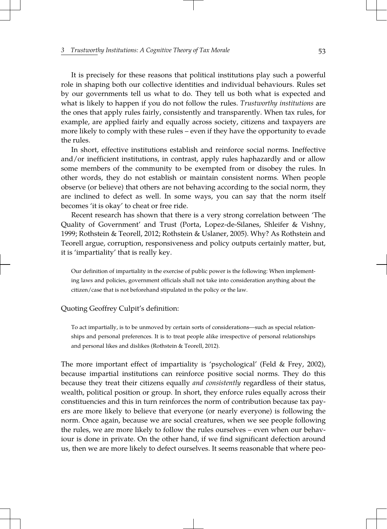It is precisely for these reasons that political institutions play such a powerful role in shaping both our collective identities and individual behaviours. Rules set by our governments tell us what to do. They tell us both what is expected and what is likely to happen if you do not follow the rules. *Trustworthy institutions* are the ones that apply rules fairly, consistently and transparently. When tax rules, for example, are applied fairly and equally across society, citizens and taxpayers are more likely to comply with these rules – even if they have the opportunity to evade the rules.

In short, effective institutions establish and reinforce social norms. Ineffective and/or inefficient institutions, in contrast, apply rules haphazardly and or allow some members of the community to be exempted from or disobey the rules. In other words, they do not establish or maintain consistent norms. When people observe (or believe) that others are not behaving according to the social norm, they are inclined to defect as well. In some ways, you can say that the norm itself becomes 'it is okay' to cheat or free ride.

Recent research has shown that there is a very strong correlation between 'The Quality of Government' and Trust (Porta, Lopez-de-Silanes, Shleifer & Vishny, 1999; Rothstein & Teorell, 2012; Rothstein & Uslaner, 2005). Why? As Rothstein and Teorell argue, corruption, responsiveness and policy outputs certainly matter, but, it is 'impartiality' that is really key.

Our definition of impartiality in the exercise of public power is the following: When implementing laws and policies, government officials shall not take into consideration anything about the citizen/case that is not beforehand stipulated in the policy or the law.

#### Quoting Geoffrey Culpit's definition:

To act impartially, is to be unmoved by certain sorts of considerations—such as special relation‐ ships and personal preferences. It is to treat people alike irrespective of personal relationships and personal likes and dislikes (Rothstein & Teorell, 2012).

The more important effect of impartiality is 'psychological' (Feld & Frey, 2002), because impartial institutions can reinforce positive social norms. They do this because they treat their citizens equally *and consistently* regardless of their status, wealth, political position or group. In short, they enforce rules equally across their constituencies and this in turn reinforces the norm of contribution because tax pay‐ ers are more likely to believe that everyone (or nearly everyone) is following the norm. Once again, because we are social creatures, when we see people following the rules, we are more likely to follow the rules ourselves - even when our behaviour is done in private. On the other hand, if we find significant defection around us, then we are more likely to defect ourselves. It seems reasonable that where peo‐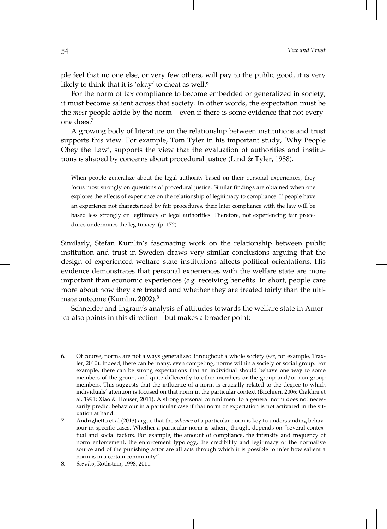ple feel that no one else, or very few others, will pay to the public good, it is very likely to think that it is 'okay' to cheat as well.<sup>6</sup>

For the norm of tax compliance to become embedded or generalized in society, it must become salient across that society. In other words, the expectation must be the *most* people abide by the norm – even if there is some evidence that not every‐ one does.<sup>7</sup>

A growing body of literature on the relationship between institutions and trust supports this view. For example, Tom Tyler in his important study, 'Why People Obey the Law', supports the view that the evaluation of authorities and institu‐ tions is shaped by concerns about procedural justice (Lind & Tyler, 1988).

When people generalize about the legal authority based on their personal experiences, they focus most strongly on questions of procedural justice. Similar findings are obtained when one explores the effects of experience on the relationship of legitimacy to compliance. If people have an experience not characterized by fair procedures, their later compliance with the law will be based less strongly on legitimacy of legal authorities. Therefore, not experiencing fair procedures undermines the legitimacy. (p. 172).

Similarly, Stefan Kumlin's fascinating work on the relationship between public institution and trust in Sweden draws very similar conclusions arguing that the design of experienced welfare state institutions affects political orientations. His evidence demonstrates that personal experiences with the welfare state are more important than economic experiences (*e.g.* receiving benefits. In short, people care more about how they are treated and whether they are treated fairly than the ultimate outcome (Kumlin, 2002).<sup>8</sup>

Schneider and Ingram's analysis of attitudes towards the welfare state in Amer‐ ica also points in this direction – but makes a broader point:

<sup>6.</sup> Of course, norms are not always generalized throughout a whole society (*see*, for example, Trax‐ ler, 2010). Indeed, there can be many, even competing, norms within a society or social group. For example, there can be strong expectations that an individual should behave one way to some members of the group, and quite differently to other members or the group and/or non-group members. This suggests that the influence of a norm is crucially related to the degree to which individuals' attention is focused on that norm in the particular context (Bicchieri, 2006; Cialdini et al, 1991; Xiao & Houser, 2011). A strong personal commitment to a general norm does not necessarily predict behaviour in a particular case if that norm or expectation is not activated in the situation at hand.

<sup>7.</sup> Andrighetto et al (2013) argue that the *salience* of a particular norm is key to understanding behav‐ iour in specific cases. Whether a particular norm is salient, though, depends on "several contextual and social factors. For example, the amount of compliance, the intensity and frequency of norm enforcement, the enforcement typology, the credibility and legitimacy of the normative source and of the punishing actor are all acts through which it is possible to infer how salient a norm is in a certain community".

<sup>8.</sup> *See also*, Rothstein, 1998, 2011.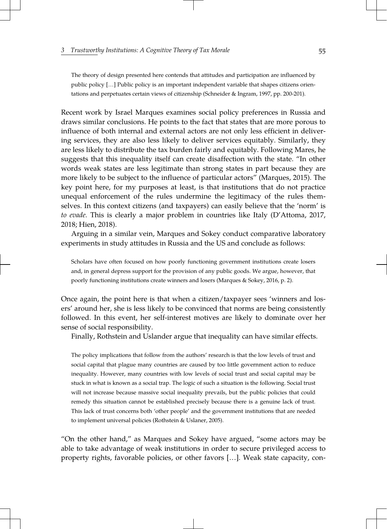The theory of design presented here contends that attitudes and participation are influenced by public policy [...] Public policy is an important independent variable that shapes citizens orientations and perpetuates certain views of citizenship (Schneider & Ingram, 1997, pp. 200-201).

Recent work by Israel Marques examines social policy preferences in Russia and draws similar conclusions. He points to the fact that states that are more porous to influence of both internal and external actors are not only less efficient in delivering services, they are also less likely to deliver services equitably. Similarly, they are less likely to distribute the tax burden fairly and equitably. Following Mares, he suggests that this inequality itself can create disaffection with the state. "In other words weak states are less legitimate than strong states in part because they are more likely to be subject to the influence of particular actors" (Marques, 2015). The key point here, for my purposes at least, is that institutions that do not practice unequal enforcement of the rules undermine the legitimacy of the rules themselves. In this context citizens (and taxpayers) can easily believe that the 'norm' is *to evade.* This is clearly a major problem in countries like Italy (D'Attoma, 2017, 2018; Hien, 2018).

Arguing in a similar vein, Marques and Sokey conduct comparative laboratory experiments in study attitudes in Russia and the US and conclude as follows:

Scholars have often focused on how poorly functioning government institutions create losers and, in general depress support for the provision of any public goods. We argue, however, that poorly functioning institutions create winners and losers (Marques & Sokey, 2016, p. 2).

Once again, the point here is that when a citizen/taxpayer sees 'winners and los‐ ers' around her, she is less likely to be convinced that norms are being consistently followed. In this event, her self-interest motives are likely to dominate over her sense of social responsibility.

Finally, Rothstein and Uslander argue that inequality can have similar effects.

The policy implications that follow from the authors' research is that the low levels of trust and social capital that plague many countries are caused by too little government action to reduce inequality. However, many countries with low levels of social trust and social capital may be stuck in what is known as a social trap. The logic of such a situation is the following. Social trust will not increase because massive social inequality prevails, but the public policies that could remedy this situation cannot be established precisely because there is a genuine lack of trust. This lack of trust concerns both 'other people' and the government institutions that are needed to implement universal policies (Rothstein & Uslaner, 2005).

"On the other hand," as Marques and Sokey have argued, "some actors may be able to take advantage of weak institutions in order to secure privileged access to property rights, favorable policies, or other favors [...]. Weak state capacity, con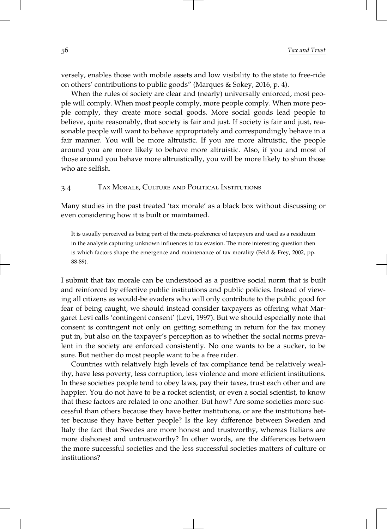versely, enables those with mobile assets and low visibility to the state to free-ride on others' contributions to public goods" (Marques & Sokey, 2016, p. 4).

When the rules of society are clear and (nearly) universally enforced, most people will comply. When most people comply, more people comply. When more peo‐ ple comply, they create more social goods. More social goods lead people to believe, quite reasonably, that society is fair and just. If society is fair and just, reasonable people will want to behave appropriately and correspondingly behave in a fair manner. You will be more altruistic. If you are more altruistic, the people around you are more likely to behave more altruistic. Also, if you and most of those around you behave more altruistically, you will be more likely to shun those who are selfish.

## 3.4 Tax Morale, Culture and Political Institutions

Many studies in the past treated 'tax morale' as a black box without discussing or even considering how it is built or maintained.

It is usually perceived as being part of the meta-preference of taxpayers and used as a residuum in the analysis capturing unknown influences to tax evasion. The more interesting question then is which factors shape the emergence and maintenance of tax morality (Feld & Frey, 2002, pp. 88-89).

I submit that tax morale can be understood as a positive social norm that is built and reinforced by effective public institutions and public policies. Instead of view‐ ing all citizens as would-be evaders who will only contribute to the public good for fear of being caught, we should instead consider taxpayers as offering what Mar‐ garet Levi calls 'contingent consent' (Levi, 1997). But we should especially note that consent is contingent not only on getting something in return for the tax money put in, but also on the taxpayer's perception as to whether the social norms prevalent in the society are enforced consistently. No one wants to be a sucker, to be sure. But neither do most people want to be a free rider.

Countries with relatively high levels of tax compliance tend be relatively weal‐ thy, have less poverty, less corruption, less violence and more efficient institutions. In these societies people tend to obey laws, pay their taxes, trust each other and are happier. You do not have to be a rocket scientist, or even a social scientist, to know that these factors are related to one another. But how? Are some societies more suc‐ cessful than others because they have better institutions, or are the institutions bet‐ ter because they have better people? Is the key difference between Sweden and Italy the fact that Swedes are more honest and trustworthy, whereas Italians are more dishonest and untrustworthy? In other words, are the differences between the more successful societies and the less successful societies matters of culture or institutions?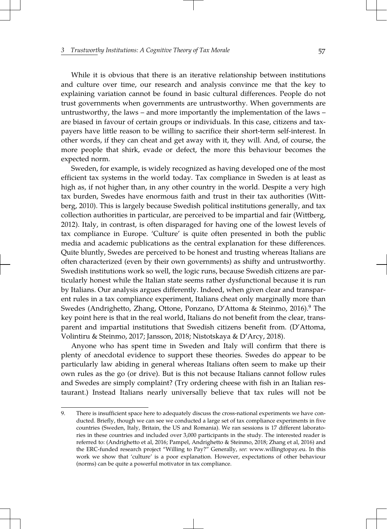While it is obvious that there is an iterative relationship between institutions and culture over time, our research and analysis convince me that the key to explaining variation cannot be found in basic cultural differences. People do not trust governments when governments are untrustworthy. When governments are untrustworthy, the laws – and more importantly the implementation of the laws – are biased in favour of certain groups or individuals. In this case, citizens and taxpayers have little reason to be willing to sacrifice their short-term self-interest. In other words, if they can cheat and get away with it, they will. And, of course, the more people that shirk, evade or defect, the more this behaviour becomes the expected norm.

Sweden, for example, is widely recognized as having developed one of the most efficient tax systems in the world today. Tax compliance in Sweden is at least as high as, if not higher than, in any other country in the world. Despite a very high tax burden, Swedes have enormous faith and trust in their tax authorities (Wittberg, 2010). This is largely because Swedish political institutions generally, and tax collection authorities in particular, are perceived to be impartial and fair (Wittberg, 2012). Italy, in contrast, is often disparaged for having one of the lowest levels of tax compliance in Europe. 'Culture' is quite often presented in both the public media and academic publications as the central explanation for these differences. Quite bluntly, Swedes are perceived to be honest and trusting whereas Italians are often characterized (even by their own governments) as shifty and untrustworthy. Swedish institutions work so well, the logic runs, because Swedish citizens are par‐ ticularly honest while the Italian state seems rather dysfunctional because it is run by Italians. Our analysis argues differently. Indeed, when given clear and transpar‐ ent rules in a tax compliance experiment, Italians cheat only marginally more than Swedes (Andrighetto, Zhang, Ottone, Ponzano, D'Attoma & Steinmo, 2016).<sup>9</sup> The key point here is that in the real world, Italians do not benefit from the clear, transparent and impartial institutions that Swedish citizens benefit from. (D'Attoma, Volintiru & Steinmo, 2017; Jansson, 2018; Nistotskaya & D'Arcy, 2018).

Anyone who has spent time in Sweden and Italy will confirm that there is plenty of anecdotal evidence to support these theories. Swedes do appear to be particularly law abiding in general whereas Italians often seem to make up their own rules as the go (or drive). But is this not because Italians cannot follow rules and Swedes are simply complaint? (Try ordering cheese with fish in an Italian restaurant.) Instead Italians nearly universally believe that tax rules will not be

<sup>9.</sup> There is insufficient space here to adequately discuss the cross-national experiments we have conducted. Briefly, though we can see we conducted a large set of tax compliance experiments in five countries (Sweden, Italy, Britain, the US and Romania). We ran sessions is 17 different laborato‐ ries in these countries and included over 3,000 participants in the study. The interested reader is referred to: (Andrighetto et al, 2016; Pampel, Andrighetto & Steinmo, 2018; Zhang et al, 2016) and the ERC-funded research project "Willing to Pay?" Generally, *see*: [www.willingtopay.eu](http://www.willingtopay.eu). In this work we show that 'culture' is a poor explanation. However, expectations of other behaviour (norms) can be quite a powerful motivator in tax compliance.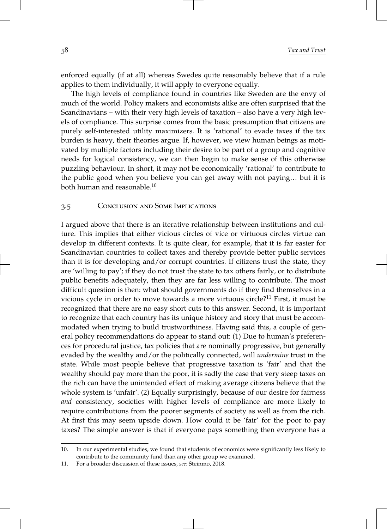enforced equally (if at all) whereas Swedes quite reasonably believe that if a rule applies to them individually, it will apply to everyone equally.

The high levels of compliance found in countries like Sweden are the envy of much of the world. Policy makers and economists alike are often surprised that the Scandinavians – with their very high levels of taxation – also have a very high lev‐ els of compliance. This surprise comes from the basic presumption that citizens are purely self-interested utility maximizers. It is 'rational' to evade taxes if the tax burden is heavy, their theories argue. If, however, we view human beings as motivated by multiple factors including their desire to be part of a group and cognitive needs for logical consistency, we can then begin to make sense of this otherwise puzzling behaviour. In short, it may not be economically 'rational' to contribute to the public good when you believe you can get away with not paying… but it is both human and reasonable.<sup>10</sup>

### 3.5 Conclusion and Some Implications

I argued above that there is an iterative relationship between institutions and cul‐ ture. This implies that either vicious circles of vice or virtuous circles virtue can develop in different contexts. It is quite clear, for example, that it is far easier for Scandinavian countries to collect taxes and thereby provide better public services than it is for developing and/or corrupt countries. If citizens trust the state, they are 'willing to pay'; if they do not trust the state to tax others fairly, or to distribute public benefits adequately, then they are far less willing to contribute. The most difficult question is then: what should governments do if they find themselves in a vicious cycle in order to move towards a more virtuous circle?11 First, it must be recognized that there are no easy short cuts to this answer. Second, it is important to recognize that each country has its unique history and story that must be accommodated when trying to build trustworthiness. Having said this, a couple of general policy recommendations do appear to stand out: (1) Due to human's preferences for procedural justice, tax policies that are nominally progressive, but generally evaded by the wealthy and/or the politically connected, will *undermine* trust in the state. While most people believe that progressive taxation is 'fair' and that the wealthy should pay more than the poor, it is sadly the case that very steep taxes on the rich can have the unintended effect of making average citizens believe that the whole system is 'unfair'. (2) Equally surprisingly, because of our desire for fairness *and* consistency, societies with higher levels of compliance are more likely to require contributions from the poorer segments of society as well as from the rich. At first this may seem upside down. How could it be 'fair' for the poor to pay taxes? The simple answer is that if everyone pays something then everyone has a

<sup>10.</sup> In our experimental studies, we found that students of economics were significantly less likely to contribute to the community fund than any other group we examined.

<sup>11.</sup> For a broader discussion of these issues, *see*: Steinmo, 2018.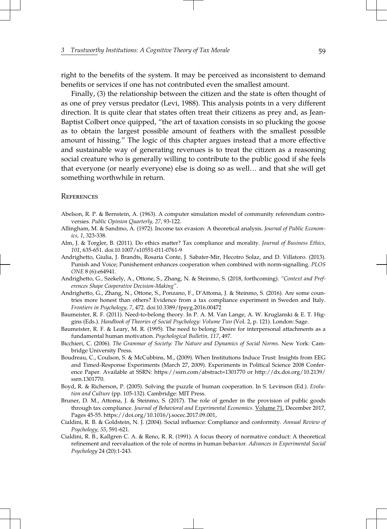right to the benefits of the system. It may be perceived as inconsistent to demand benefits or services if one has not contributed even the smallest amount.

Finally, (3) the relationship between the citizen and the state is often thought of as one of prey versus predator (Levi, 1988). This analysis points in a very different direction. It is quite clear that states often treat their citizens as prey and, as Jean-Baptist Colbert once quipped, "the art of taxation consists in so plucking the goose as to obtain the largest possible amount of feathers with the smallest possible amount of hissing." The logic of this chapter argues instead that a more effective and sustainable way of generating revenues is to treat the citizen as a reasoning social creature who is generally willing to contribute to the public good if she feels that everyone (or nearly everyone) else is doing so as well… and that she will get something worthwhile in return.

#### **REFERENCES**

- Abelson, R. P. & Bernstein, A. (1963). A computer simulation model of community referendum contro‐ versies. *Public Opinion Quarterly, 27*, 93-122.
- Allingham, M. & Sandmo, A. (1972). Income tax evasion: A theoretical analysis. *Journal of Public Econom‐ ics, 1*, 323-338.
- Alm, J. & Torgler, B. (2011). Do ethics matter? Tax compliance and morality. *Journal of Business Ethics, 101*, 635-651. doi:10.1007/s10551-011-0761-9
- Andrighetto, Giulia, J. Brandts, Rosaria Conte, J. Sabater-Mir, Hecotro Solaz, and D. Villatoro. (2013). Punish and Voice; Punishement enhances cooperation when combined with norm-signalling. *PLOS ONE* 8 (6):e64941.
- Andrighetto, G., Szekely, A., Ottone, S., Zhang, N. & Steinmo, S. (2018, forthcoming). *"Context and Pref‐ erences Shape Cooperative Decision-Making"*.
- Andrighetto, G., Zhang, N., Ottone, S., Ponzano, F., D'Attoma, J. & Steinmo, S. (2016). Are some coun‐ tries more honest than others? Evidence from a tax compliance experiment in Sweden and Italy. *Frontiers in Psychology, 7*, 472. doi:10.3389/fpsyg.2016.00472
- Baumeister, R. F. (2011). Need-to-belong theory. In P. A. M. Van Lange, A. W. Kruglanski & E. T. Higgins (Eds.). *Handbook of Theories of Social Psychology: Volume Two* (Vol. 2, p. 121). London: Sage.
- Baumeister, R. F. & Leary, M. R. (1995). The need to belong: Desire for interpersonal attachments as a fundamental human motivation. *Psychological Bulletin, 117*, 497.
- Bicchieri, C. (2006). *The Grammar of Society: The Nature and Dynamics of Social Norms*. New York: Cam‐ bridge University Press.
- Boudreau, C., Coulson, S. & McCubbins, M., (2009). When Institutions Induce Trust: Insights from EEG and Timed-Response Experiments (March 27, 2009). Experiments in Political Science 2008 Confer‐ ence Paper. Available at SSRN: <https://ssrn.com/abstract=1301770>or [http://dx.doi.org/10.2139/](http://dx.doi.org/10.2139/ssrn.1301770) [ssrn.1301770.](http://dx.doi.org/10.2139/ssrn.1301770)
- Boyd, R. & Richerson, P. (2005). Solving the puzzle of human cooperation. In S. Levinson (Ed.). *Evolu‐ tion and Culture* (pp. 105-132). Cambridge: MIT Press.
- Bruner, D. M., Attoma, J. & Steinmo, S. (2017). The role of gender in the provision of public goods through tax compliance. *Journal of Behavioral and Experimental Economics*. *Volume 71*, December 2017, Pages 45-55. [https://doi.org/10.1016/j.socec.2017.09.001,](https://doi.org/10.1016/j.socec.2017.09.001)
- Cialdini, R. B. & Goldstein, N. J. (2004). Social influence: Compliance and conformity. *Annual Review of Psychology, 55*, 591-621.
- Cialdini, R. B., Kallgren C. A. & Reno, R. R. (1991). A focus theory of normative conduct: A theoretical refinement and reevaluation of the role of norms in human behavior. *Advances in Experimental Social Psychology* 24 (20):1-243.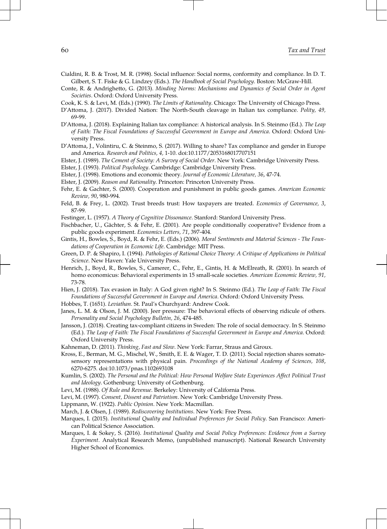- Cialdini, R. B. & Trost, M. R. (1998). Social influence: Social norms, conformity and compliance. In D. T. Gilbert, S. T. Fiske & G. Lindzey (Eds.). *The Handbook of Social Psychology*. Boston: McGraw-Hill.
- Conte, R. & Andrighetto, G. (2013). *Minding Norms: Mechanisms and Dynamics of Social Order in Agent Societies*. Oxford: Oxford University Press.
- Cook, K. S. & Levi, M. (Eds.) (1990). *The Limits of Rationality*. Chicago: The University of Chicago Press.
- D'Attoma, J. (2017). Divided Nation: The North-South cleavage in Italian tax compliance. *Polity, 49,* 69-99.
- D'Attoma, J. (2018). Explaining Italian tax compliance: A historical analysis. In S. Steinmo (Ed.). *The Leap of Faith: The Fiscal Foundations of Successful Government in Europe and America*. Oxford: Oxford Uni‐ versity Press.

D'Attoma, J., Volintiru, C. & Steinmo, S. (2017). Willing to share? Tax compliance and gender in Europe and America. *Research and Politics, 4,* 1-10. doi:10.1177/2053168017707151

Elster, J. (1989). *The Cement of Society: A Survey of Social Order*. New York: Cambridge University Press.

Elster, J. (1993). *Political Psychology*. Cambridge: Cambridge University Press.

Elster, J. (1998). Emotions and economic theory. *Journal of Economic Literature, 36*, 47-74.

Elster, J. (2009). *Reason and Rationality*. Princeton: Princeton University Press.

- Fehr, E. & Gachter, S. (2000). Cooperation and punishment in public goods games. *American Economic Review, 90*, 980-994.
- Feld, B. & Frey, L. (2002). Trust breeds trust: How taxpayers are treated. *Economics of Governance, 3*, 87-99.
- Festinger, L. (1957). *A Theory of Cognitive Dissonance*. Stanford: Stanford University Press.
- Fischbacher, U., Gächter, S. & Fehr, E. (2001). Are people conditionally cooperative? Evidence from a public goods experiment. *Economics Letters, 71*, 397-404.
- Gintis, H., Bowles, S., Boyd, R. & Fehr, E. (Eds.) (2006). *Moral Sentiments and Material Sciences The Foun‐ dations of Cooperation in Economic Life*. Cambridge: MIT Press.
- Green, D. P. & Shapiro, I. (1994). *Pathologies of Rational Choice Theory: A Critique of Applications in Political Science*. New Haven: Yale University Press.
- Henrich, J., Boyd, R., Bowles, S., Camerer, C., Fehr, E., Gintis, H. & McElreath, R. (2001). In search of homo economicus: Behavioral experiments in 15 small-scale societies. *American Economic Review, 91,* 73-78.

Hien, J. (2018). Tax evasion in Italy: A God given right? In S. Steinmo (Ed.). *The Leap of Faith: The Fiscal Foundations of Successful Government in Europe and America*. Oxford: Oxford University Press.

Hobbes, T. (1651). *Leviathan*. St. Paul's Churchyard: Andrew Cook.

Janes, L. M. & Olson, J. M. (2000). Jeer pressure: The behavioral effects of observing ridicule of others. *Personality and Social Psychology Bulletin, 26*, 474-485.

- Jansson, J. (2018). Creating tax-compliant citizens in Sweden: The role of social democracy. In S. Steinmo (Ed.). *The Leap of Faith: The Fiscal Foundations of Successful Government in Europe and America*. Oxford: Oxford University Press.
- Kahneman, D. (2011). *Thinking, Fast and Slow*. New York: Farrar, Straus and Giroux.
- Kross, E., Berman, M. G., Mischel, W., Smith, E. E. & Wager, T. D. (2011). Social rejection shares somatosensory representations with physical pain. *Proceedings of the National Academy of Sciences, 108*, 6270-6275. doi:10.1073/pnas.1102693108
- Kumlin, S. (2002). *The Personal and the Political: How Personal Welfare State Experiences Affect Political Trust and Ideology*. Gothenburg: University of Gothenburg.
- Levi, M. (1988). *Of Rule and Revenue*. Berkeley: University of California Press.

Levi, M. (1997). *Consent, Dissent and Patriotism*. New York: Cambridge University Press.

Lippmann, W. (1922). *Public Opinion*. New York: Macmillan.

March, J. & Olsen, J. (1989). *Rediscovering Institutions*. New York: Free Press.

- Marques, I. (2015). *Institutional Quality and Individual Preferences for Social Policy*. San Francisco: Ameri‐ can Political Science Association.
- Marques, I. & Sokey, S. (2016). *Institutional Quality and Social Policy Preferences: Evidence from a Survey Experiment*. Analytical Research Memo, (unpublished manuscript). National Research University Higher School of Economics.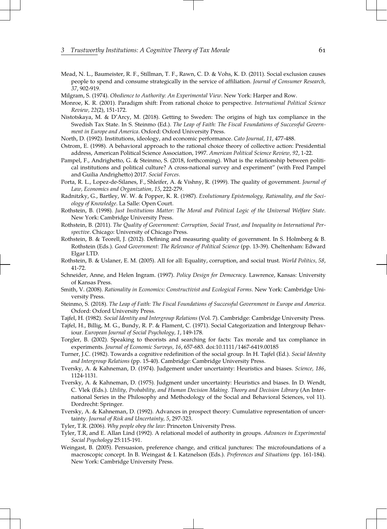Mead, N. L., Baumeister, R. F., Stillman, T. F., Rawn, C. D. & Vohs, K. D. (2011). Social exclusion causes people to spend and consume strategically in the service of affiliation. *Journal of Consumer Research, 37*, 902-919.

Milgram, S. (1974). *Obedience to Authority: An Experimental View*. New York: Harper and Row.

Monroe, K. R. (2001). Paradigm shift: From rational choice to perspective. *International Political Science Review, 22*(2), 151-172.

Nistotskaya, M. & D'Arcy, M. (2018). Getting to Sweden: The origins of high tax compliance in the Swedish Tax State. In S. Steinmo (Ed.). *The Leap of Faith: The Fiscal Foundations of Successful Govern‐ ment in Europe and America*. Oxford: Oxford University Press.

North, D. (1992). Institutions, ideology, and economic performance. *Cato Journal, 11*, 477-488.

- Ostrom, E. (1998). A behavioral approach to the rational choice theory of collective action: Presidential address, American Political Science Association, 1997. *American Political Science Review, 92*, 1-22.
- Pampel, F., Andrighetto, G. & Steinmo, S. (2018, forthcoming). What is the relationship between political institutions and political culture? A cross-national survey and experiment" (with Fred Pampel and Guilia Andrighetto) 2017. *Social Forces*.

Porta, R. L., Lopez-de-Silanes, F., Shleifer, A. & Vishny, R. (1999). The quality of government. *Journal of Law, Economics and Organization, 15*, 222-279.

Radnitzky, G., Bartley, W. W. & Popper, K. R. (1987). *Evolutionary Epistemology, Rationality, and the Soci‐ ology of Knowledge*. La Salle: Open Court.

- Rothstein, B. (1998). *Just Institutions Matter: The Moral and Political Logic of the Universal Welfare State*. New York: Cambridge University Press.
- Rothstein, B. (2011). *The Quality of Government: Corruption, Social Trust, and Inequality in International Per‐ spective*. Chicago: University of Chicago Press.
- Rothstein, B. & Teorell, J. (2012). Defining and measuring quality of government. In S. Holmberg & B. Rothstein (Eds.). *Good Government: The Relevance of Political Science* (pp. 13-39). Cheltenham: Edward Elgar LTD.
- Rothstein, B. & Uslaner, E. M. (2005). All for all: Equality, corruption, and social trust. *World Politics, 58*, 41-72.
- Schneider, Anne, and Helen Ingram. (1997). *Policy Design for Democracy*. Lawrence, Kansas: University of Kansas Press.
- Smith, V. (2008). *Rationality in Economics: Constructivist and Ecological Forms*. New York: Cambridge Uni‐ versity Press.
- Steinmo, S. (2018). *The Leap of Faith: The Fiscal Foundations of Successful Government in Europe and America*. Oxford: Oxford University Press.

Tajfel, H. (1982). *Social Identity and Intergroup Relations* (Vol. 7). Cambridge: Cambridge University Press.

- Tajfel, H., Billig, M. G., Bundy, R. P. & Flament, C. (1971). Social Categorization and Intergroup Behav‐ iour. *European Journal of Social Psychology, 1*, 149-178.
- Torgler, B. (2002). Speaking to theorists and searching for facts: Tax morale and tax compliance in experiments. *Journal of Economic Surveys, 16*, 657-683. doi:10.1111/1467-6419.00185
- Turner, J.C. (1982). Towards a cognitive redefinition of the social group. In H. Tajfel (Ed.). *Social Identity and Intergroup Relations* (pp. 15-40). Cambridge: Cambridge University Press.
- Tversky, A. & Kahneman, D. (1974). Judgement under uncertainty: Heuristics and biases. *Science, 186*, 1124-1131.
- Tversky, A. & Kahneman, D. (1975). Judgment under uncertainty: Heuristics and biases. In D. Wendt, C. Vlek (Eds.). *Utility, Probability, and Human Decision Making. Theory and Decision Library* (An Inter‐ national Series in the Philosophy and Methodology of the Social and Behavioral Sciences, vol 11). Dordrecht: Springer.
- Tversky, A. & Kahneman, D. (1992). Advances in prospect theory: Cumulative representation of uncer‐ tainty. *Journal of Risk and Uncertainty, 5*, 297-323.

Tyler, T.R. (2006). *Why people obey the law*: Princeton University Press.

- Tyler, T.R, and E. Allan Lind (1992). A relational model of authority in groups. *Advances in Experimental Social Psychology* 25:115-191.
- Weingast, B. (2005). Persuasion, preference change, and critical junctures: The microfoundations of a macroscopic concept. In B. Weingast & I. Katznelson (Eds.). *Preferences and Situations* (pp. 161-184). New York: Cambridge University Press.